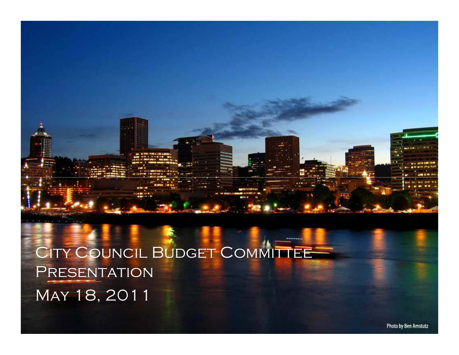## City Council Budget Committee **PRESENTATION** May 18, 2011

\*\*\*\*\*\*\*\*\*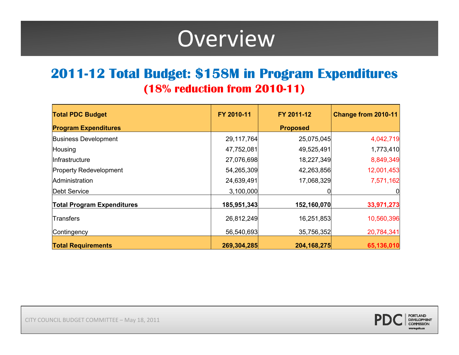# Overview

### **201112 Total Budget: \$158M in Program Expenditures (18% reduction from 201011)**

| <b>Total PDC Budget</b>           | FY 2010-11  | FY 2011-12      | Change from 2010-11 |
|-----------------------------------|-------------|-----------------|---------------------|
| <b>Program Expenditures</b>       |             | <b>Proposed</b> |                     |
| <b>Business Development</b>       | 29,117,764  | 25,075,045      | 4,042,719           |
| Housing                           | 47,752,081  | 49,525,491      | 1,773,410           |
| Infrastructure                    | 27,076,698  | 18,227,349      | 8,849,349           |
| <b>Property Redevelopment</b>     | 54,265,309  | 42,263,856      | 12,001,453          |
| Administration                    | 24,639,491  | 17,068,329      | 7,571,162           |
| <b>Debt Service</b>               | 3,100,000   |                 |                     |
| <b>Total Program Expenditures</b> | 185,951,343 | 152,160,070     | 33,971,273          |
| Transfers                         | 26,812,249  | 16,251,853      | 10,560,396          |
| Contingency                       | 56,540,693  | 35,756,352      | 20,784,341          |
| <b>Total Requirements</b>         | 269,304,285 | 204, 168, 275   | 65,136,010          |



CITY COUNCIL BUDGET COMMITTEE – May 18, 2011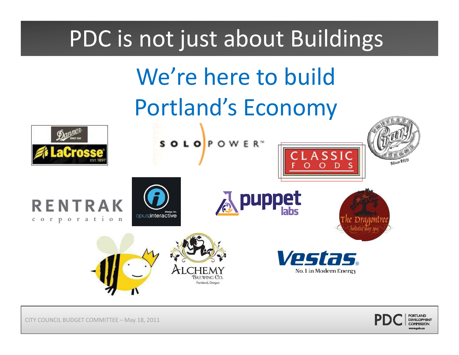# PDC is not just about Buildings

# We're here to build Portland's Economy

puppet

CLASSIC

Vestas.

No. 1 in Modern Energy

SOLOPOWER<sup>®</sup>









Since 1978

CITY COUNCIL BUDGET COMMITTEE – May 18, 2011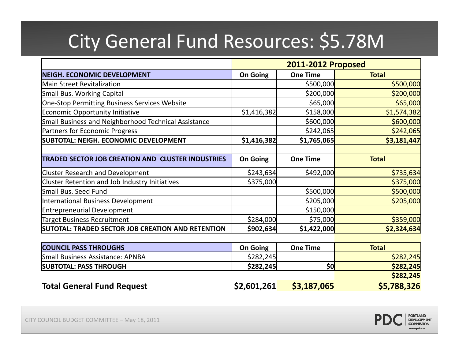# City General Fund Resources: \$5.78M

|                                                          | <b>2011-2012 Proposed</b> |                 |              |
|----------------------------------------------------------|---------------------------|-----------------|--------------|
| <b>NEIGH. ECONOMIC DEVELOPMENT</b>                       | <b>On Going</b>           | <b>One Time</b> | <b>Total</b> |
| <b>Main Street Revitalization</b>                        |                           | \$500,000       | \$500,000    |
| Small Bus. Working Capital                               |                           | \$200,000       | \$200,000    |
| One-Stop Permitting Business Services Website            |                           | \$65,000        | \$65,000     |
| Economic Opportunity Initiative                          | \$1,416,382               | \$158,000       | \$1,574,382  |
| Small Business and Neighborhood Technical Assistance     |                           | \$600,000       | \$600,000    |
| <b>Partners for Economic Progress</b>                    |                           | \$242,065       | \$242,065    |
| SUBTOTAL: NEIGH. ECONOMIC DEVELOPMENT                    | \$1,416,382               | \$1,765,065     | \$3,181,447  |
|                                                          |                           |                 |              |
| <b>TRADED SECTOR JOB CREATION AND CLUSTER INDUSTRIES</b> | <b>On Going</b>           | <b>One Time</b> | <b>Total</b> |
| <b>Cluster Research and Development</b>                  | \$243,634                 | \$492,000       | \$735,634    |
| Cluster Retention and Job Industry Initiatives           | \$375,000                 |                 | \$375,000    |
| Small Bus. Seed Fund                                     |                           | \$500,000       | \$500,000    |
| International Business Development                       |                           | \$205,000       | \$205,000    |
| <b>Entrepreneurial Development</b>                       |                           | \$150,000       |              |
| Target Business Recruitment                              | \$284,000                 | \$75,000        | \$359,000    |
| SUTOTAL: TRADED SECTOR JOB CREATION AND RETENTION        | \$902,634                 | \$1,422,000     | \$2,324,634  |

| <b>COUNCIL PASS THROUGHS</b>            | <b>On Going</b> | <b>One Time</b> | <b>Total</b> |
|-----------------------------------------|-----------------|-----------------|--------------|
| <b>Small Business Assistance: APNBA</b> | \$282,245       |                 | \$282,245    |
| <b>SUBTOTAL: PASS THROUGH</b>           | \$282,245       | \$0             | \$282,245    |
|                                         |                 |                 | \$282,245    |
| <b>Total General Fund Request</b>       | \$2,601,261     | \$3,187,065     | \$5,788,326  |

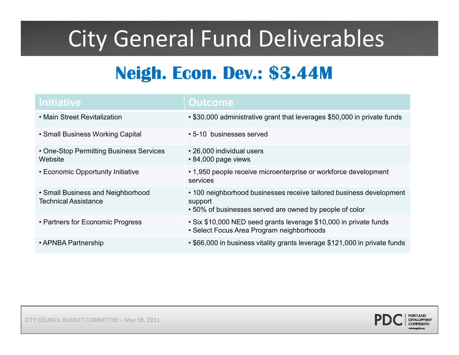# City General Fund Deliverables

## **Neigh. Econ. Dev.: \$3.44M**

| <b>Initiative</b>                                                | <b>Outcome</b>                                                                                                                            |
|------------------------------------------------------------------|-------------------------------------------------------------------------------------------------------------------------------------------|
| • Main Street Revitalization                                     | • \$30,000 administrative grant that leverages \$50,000 in private funds                                                                  |
| • Small Business Working Capital                                 | • 5-10 businesses served                                                                                                                  |
| • One-Stop Permitting Business Services<br>Website               | • 26,000 individual users<br>• 84,000 page views                                                                                          |
| • Economic Opportunity Initiative                                | • 1,950 people receive microenterprise or workforce development<br>services                                                               |
| • Small Business and Neighborhood<br><b>Technical Assistance</b> | • 100 neighborhood businesses receive tailored business development<br>support<br>• 50% of businesses served are owned by people of color |
| • Partners for Economic Progress                                 | • Six \$10,000 NED seed grants leverage \$10,000 in private funds<br>• Select Focus Area Program neighborhoods                            |
| • APNBA Partnership                                              | • \$66,000 in business vitality grants leverage \$121,000 in private funds                                                                |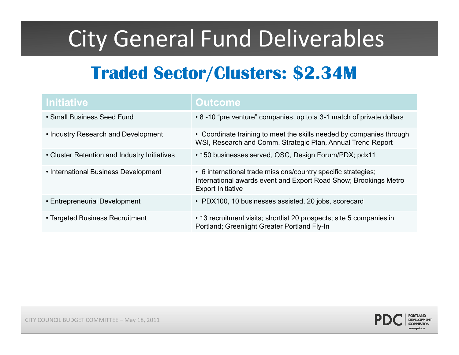# City General Fund Deliverables

## **Traded Sector/Clusters: \$2.34M**

| <b>Initiative</b>                            | <b>Outcome</b>                                                                                                                                                |
|----------------------------------------------|---------------------------------------------------------------------------------------------------------------------------------------------------------------|
| • Small Business Seed Fund                   | • 8 -10 "pre venture" companies, up to a 3-1 match of private dollars                                                                                         |
| • Industry Research and Development          | • Coordinate training to meet the skills needed by companies through<br>WSI, Research and Comm. Strategic Plan, Annual Trend Report                           |
| • Cluster Retention and Industry Initiatives | • 150 businesses served, OSC, Design Forum/PDX; pdx11                                                                                                         |
| • International Business Development         | • 6 international trade missions/country specific strategies;<br>International awards event and Export Road Show; Brookings Metro<br><b>Export Initiative</b> |
| • Entrepreneurial Development                | • PDX100, 10 businesses assisted, 20 jobs, scorecard                                                                                                          |
| • Targeted Business Recruitment              | • 13 recruitment visits; shortlist 20 prospects; site 5 companies in<br>Portland; Greenlight Greater Portland Fly-In                                          |

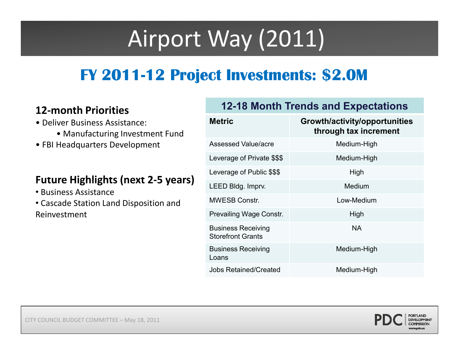# Airport Way (2011)

### **FY 201112 Project Investments: \$2.0M**

### **12-month Priorities 12-18 Month Trends and Expectations**

- Deliver Business Assistance:
	- Manufacturing Investment Fund
- FBI Headquarters Development

#### **uture g g ts next - years Future Highlights (next 2-5 years)**

- Business Assistance
- Cascade Station Land Disposition and **Reinvestment**

| 14 IIIVIILII I IVIILILJ                                                                                                                                                        |                                                       |                                                        |
|--------------------------------------------------------------------------------------------------------------------------------------------------------------------------------|-------------------------------------------------------|--------------------------------------------------------|
| · Deliver Business Assistance:<br>• Manufacturing Investment Fund<br>• FBI Headquarters Development<br><b>Future Highlights (next 2-5 years)</b><br><b>Business Assistance</b> | <b>Metric</b>                                         | Growth/activity/opportunities<br>through tax increment |
|                                                                                                                                                                                | <b>Assessed Value/acre</b>                            | Medium-High                                            |
|                                                                                                                                                                                | Leverage of Private \$\$\$                            | Medium-High                                            |
|                                                                                                                                                                                | Leverage of Public \$\$\$                             | High                                                   |
|                                                                                                                                                                                | LEED Bldg. Imprv.                                     | Medium                                                 |
| Cascade Station Land Disposition and                                                                                                                                           | <b>MWESB Constr.</b>                                  | Low-Medium                                             |
| Reinvestment                                                                                                                                                                   | <b>Prevailing Wage Constr.</b>                        | High                                                   |
|                                                                                                                                                                                | <b>Business Receiving</b><br><b>Storefront Grants</b> | <b>NA</b>                                              |
|                                                                                                                                                                                | <b>Business Receiving</b><br>Loans                    | Medium-High                                            |
|                                                                                                                                                                                | <b>Jobs Retained/Created</b>                          | Medium-High                                            |

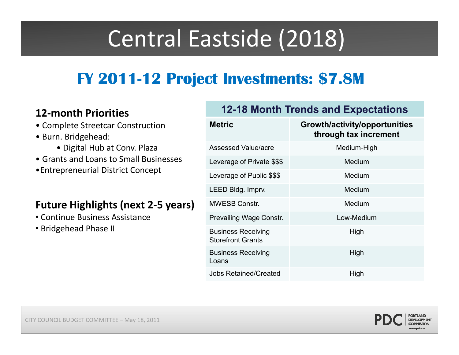# Central Eastside (2018)

### **FY 201112 Project Investments: \$7.8M**

#### **12-month Priorities**

- Complete Streetcar Construction
- Burn. Bridgehead:
	- Digital Hub at Conv. Plaza
- Grants and Loans to Small Businesses
- •Entrepreneurial District Concept

#### **Future Highlights (next 2-5 years)**

- Continue Business Assistance
- Bridgehead Phase II

| <b>Metric</b>                                         | Growth/activity/opportunities<br>through tax increment |
|-------------------------------------------------------|--------------------------------------------------------|
| Assessed Value/acre                                   | Medium-High                                            |
| Leverage of Private \$\$\$                            | Medium                                                 |
| Leverage of Public \$\$\$                             | Medium                                                 |
| LEED Bldg. Imprv.                                     | Medium                                                 |
| <b>MWESB Constr.</b>                                  | Medium                                                 |
| <b>Prevailing Wage Constr.</b>                        | Low-Medium                                             |
| <b>Business Receiving</b><br><b>Storefront Grants</b> | High                                                   |
| <b>Business Receiving</b><br>Loans                    | High                                                   |
| <b>Jobs Retained/Created</b>                          | High                                                   |
|                                                       |                                                        |

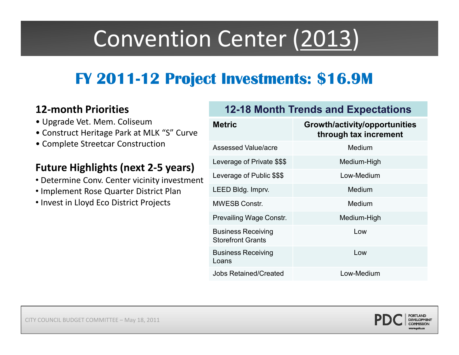# Convention Center (2013)

### **FY 201112 Project Investments: \$16.9M**

#### **12-month Priorities**

- Upgrade Vet. Mem. Coliseum
- Construct Heritage Park at MLK "S" Curve
- Complete Streetcar Construction

### **Future Highlights (next 2-5 years)**

- Determine Conv. Center vicinity investment Determine Conv. Center vicinity investment
- Implement Rose Quarter District Plan
- Invest in Lloyd Eco District Projects

| <b>12-18 Month Trends and Expectations</b>            |                                                        |  |
|-------------------------------------------------------|--------------------------------------------------------|--|
| <b>Metric</b>                                         | Growth/activity/opportunities<br>through tax increment |  |
| <b>Assessed Value/acre</b>                            | Medium                                                 |  |
| Leverage of Private \$\$\$                            | Medium-High                                            |  |
| Leverage of Public \$\$\$                             | Low-Medium                                             |  |
| LEED Bldg. Imprv.                                     | Medium                                                 |  |
| <b>MWESB Constr.</b>                                  | Medium                                                 |  |
| <b>Prevailing Wage Constr.</b>                        | Medium-High                                            |  |
| <b>Business Receiving</b><br><b>Storefront Grants</b> | Low                                                    |  |
| <b>Business Receiving</b><br>Loans                    | l ow                                                   |  |
| <b>Jobs Retained/Created</b>                          | Low-Medium                                             |  |

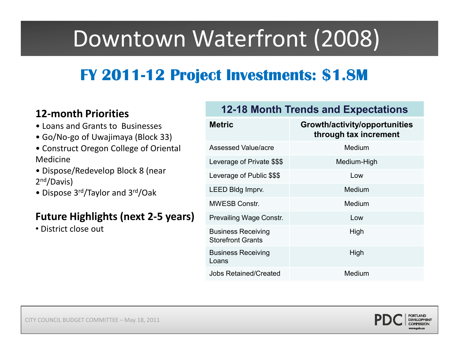# Downtown Waterfront (2008)

### **FY 201112 Project Investments: \$1.8M**

#### **12-month Priorities**

- Loans and Grants to Businesses
- Go/No-go of Uwajimaya (Block 33)
- Construct Oregon College of Oriental Medicine
- 2<sup>nd</sup>/Davis) • Dispose/Redevelop Block 8 (near
- Dispose 3rd/Taylor and 3rd/Oak

#### **Future Highlights (next 2-5 years)**

• District close out

| <b>Metric</b>                                         | Growth/activity/opportunities<br>through tax increment |
|-------------------------------------------------------|--------------------------------------------------------|
| Assessed Value/acre                                   | Medium                                                 |
| Leverage of Private \$\$\$                            | Medium-High                                            |
| Leverage of Public \$\$\$                             | Low                                                    |
| LEED Bldg Imprv.                                      | Medium                                                 |
| <b>MWESB Constr.</b>                                  | Medium                                                 |
| Prevailing Wage Constr.                               | Low                                                    |
| <b>Business Receiving</b><br><b>Storefront Grants</b> | High                                                   |
| <b>Business Receiving</b><br>Loans                    | High                                                   |
| <b>Jobs Retained/Created</b>                          | Medium                                                 |
|                                                       |                                                        |

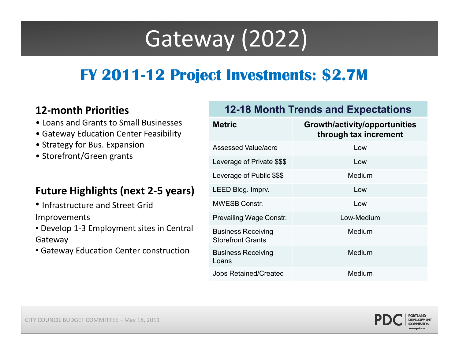# Gateway (2022)

### **FY 201112 Project Investments: \$2.7M**

#### **12-month Priorities**

- Loans and Grants to Small Businesses
- Gateway Education Center Feasibility
- Strategy for Bus. Expansion
- Storefront/Green grants

#### **Future Highlights (next 2-5 years)**

- Infrastructure and Street Grid Improvements
- Develop 1-3 Employment sites in Central Gateway
- Gateway Education Center construction

| <b>12-18 Month Trends and Expectations</b>            |                                                        |
|-------------------------------------------------------|--------------------------------------------------------|
| <b>Metric</b>                                         | Growth/activity/opportunities<br>through tax increment |
| <b>Assessed Value/acre</b>                            | Low                                                    |
| Leverage of Private \$\$\$                            | Low                                                    |
| Leverage of Public \$\$\$                             | Medium                                                 |
| LEED Bldg. Imprv.                                     | Low                                                    |
| <b>MWESB Constr.</b>                                  | Low                                                    |
| <b>Prevailing Wage Constr.</b>                        | Low-Medium                                             |
| <b>Business Receiving</b><br><b>Storefront Grants</b> | Medium                                                 |
| <b>Business Receiving</b><br>Loans                    | Medium                                                 |
| <b>Jobs Retained/Created</b>                          | Medium                                                 |

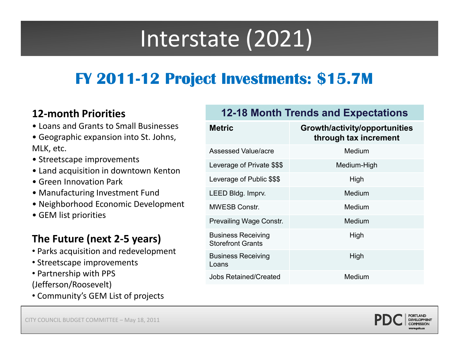# Interstate (2021)

### **FY 201112 Project Investments: \$15.7M**

#### **12-month Priorities**

- Loans and Grants to Small Businesses
- Geographic expansion into St. Johns, MLK, etc.
- Streetscape improvements
- Land acquisition in downtown Kenton
- 
- Manufacturing Investment Fund
- Neighborhood Economic Development
- GEM list priorities

### **The Future (next 2-5 years)**

- Parks acquisition and redevelopment
- Streetscape improvements
- Partnership with PPS
- (Jefferson/Roosevelt)
- Community's GEM List of projects

| • Loans and Grants to Small Businesses<br>• Geographic expansion into St. Johns,<br>MLK, etc.                                                         | <b>Metric</b>                                         | Growth/activity/opportunities<br>through tax increment |
|-------------------------------------------------------------------------------------------------------------------------------------------------------|-------------------------------------------------------|--------------------------------------------------------|
|                                                                                                                                                       | <b>Assessed Value/acre</b>                            | Medium                                                 |
| • Streetscape improvements<br>• Land acquisition in downtown Kenton                                                                                   | Leverage of Private \$\$\$                            | Medium-High                                            |
| • Green Innovation Park                                                                                                                               | Leverage of Public \$\$\$                             | High                                                   |
| • Manufacturing Investment Fund                                                                                                                       | LEED Bldg. Imprv.                                     | <b>Medium</b>                                          |
| • Neighborhood Economic Development<br>• GEM list priorities                                                                                          | <b>MWESB Constr.</b>                                  | <b>Medium</b>                                          |
|                                                                                                                                                       | Prevailing Wage Constr.                               | <b>Medium</b>                                          |
| The Future (next 2-5 years)<br>• Parks acquisition and redevelopment<br>• Streetscape improvements<br>• Partnership with PPS<br>(Jofforcon/Roocovolt) | <b>Business Receiving</b><br><b>Storefront Grants</b> | High                                                   |
|                                                                                                                                                       | <b>Business Receiving</b><br>Loans                    | High                                                   |
|                                                                                                                                                       | <b>Jobs Retained/Created</b>                          | Medium                                                 |
|                                                                                                                                                       |                                                       |                                                        |

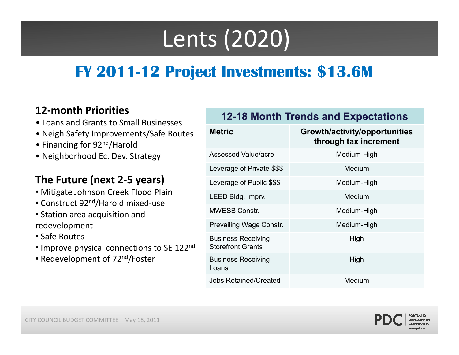# Lents (2020)

### **FY 201112 Project Investments: \$13.6M**

#### **12-month Priorities**

- Loans and Grants to Small Businesses
- Neigh Safety Improvements/Safe Routes
- Financing for 92<sup>nd</sup>/Harold
- Neighborhood Ec. Dev. Strategy

#### **e uture next - years Th F ( 2 The Future (next2-5 ) years**

- Mitigate Johnson Creek Flood Plain
- Construct 92nd/Harold mixed-use
- Station area acquisition and redevelopment
- Safe Routes
- Improve physical connections to SE 122<sup>nd</sup>
- Redevelopment of 72nd/Foster

| <b>Metric</b>                                         | Growth/activity/opportunities<br>through tax increment |
|-------------------------------------------------------|--------------------------------------------------------|
| Assessed Value/acre                                   | Medium-High                                            |
| Leverage of Private \$\$\$                            | Medium                                                 |
| Leverage of Public \$\$\$                             | Medium-High                                            |
| LEED Bldg. Imprv.                                     | Medium                                                 |
| <b>MWESB Constr.</b>                                  | Medium-High                                            |
| <b>Prevailing Wage Constr.</b>                        | Medium-High                                            |
| <b>Business Receiving</b><br><b>Storefront Grants</b> | High                                                   |
| <b>Business Receiving</b><br>Loans                    | High                                                   |
| <b>Jobs Retained/Created</b>                          | Medium                                                 |

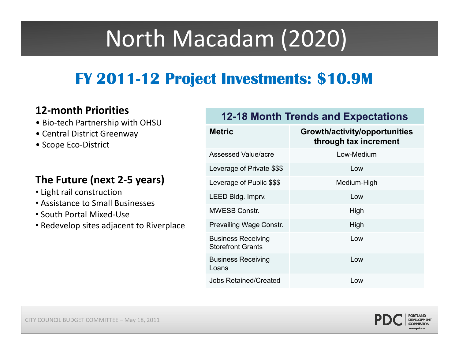# North Macadam (2020)

### **FY 201112 Project Investments: \$10.9M**

- 
- Central District Greenway<br>• Scope Eco-District
- 

- Light rail construction
- Assistance to Small Businesses
- South Portal Mixed-Use
- Redevelop sites adjacent to Riverplace

## **12-month Priorities <b>12-18 Month Trends and Expectations**<br>• Bio-tech Partnership with OHSU

| • Central District Greenway<br>• Scope Eco-District                                                                                                                  | <b>Metric</b>                                         | Growth/activity/opportunities<br>through tax increment |
|----------------------------------------------------------------------------------------------------------------------------------------------------------------------|-------------------------------------------------------|--------------------------------------------------------|
|                                                                                                                                                                      | <b>Assessed Value/acre</b>                            | Low-Medium                                             |
|                                                                                                                                                                      | Leverage of Private \$\$\$                            | Low                                                    |
| The Future (next 2-5 years)<br>• Light rail construction<br>• Assistance to Small Businesses<br>• South Portal Mixed-Use<br>• Redevelop sites adjacent to Riverplace | Leverage of Public \$\$\$                             | Medium-High                                            |
|                                                                                                                                                                      | LEED Bldg. Imprv.                                     | Low                                                    |
|                                                                                                                                                                      | <b>MWESB Constr.</b>                                  | High                                                   |
|                                                                                                                                                                      | <b>Prevailing Wage Constr.</b>                        | High                                                   |
|                                                                                                                                                                      | <b>Business Receiving</b><br><b>Storefront Grants</b> | Low                                                    |
|                                                                                                                                                                      | <b>Business Receiving</b><br>Loans                    | Low                                                    |
|                                                                                                                                                                      | <b>Jobs Retained/Created</b>                          | Low                                                    |
|                                                                                                                                                                      |                                                       |                                                        |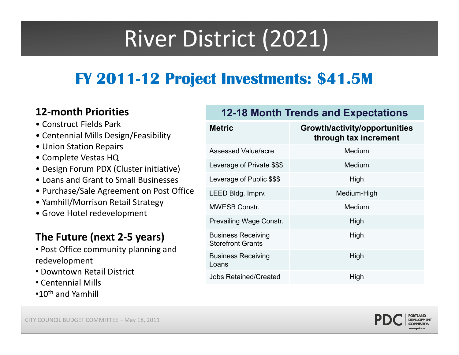# River District (2021)

### **FY 201112 Project Investments: \$41.5M**

#### **12-month Priorities**

- Construct Fields Park
- Centennial Mills Design/Feasibility
- Union Station Repairs
- Complete Vestas HQ
- Design Forum PDX (Cluster initiative)
- 
- Purchase/Sale Agreement on Post Office
- Yamhill/Morrison Retail Strategy
- Grove Hotel redevelopment

### **The Future (next 2-5 years)**

- Post Office community planning and redevelopment
- Downtown Retail District
- Centennial Mills
- $\cdot$ 10<sup>th</sup> and Yamhill

| <b>• CUIISLIULL FIEIUS FAIN</b><br>• Centennial Mills Design/Feasibility<br>• Union Station Repairs<br>• Complete Vestas HQ<br>• Design Forum PDX (Cluster initiative)<br>• Loans and Grant to Small Businesses<br>• Purchase/Sale Agreement on Post Office<br>• Yamhill/Morrison Retail Strategy<br>• Grove Hotel redevelopment | <b>Metric</b>                                         | Growth/activity/opportunities<br>through tax increment |
|----------------------------------------------------------------------------------------------------------------------------------------------------------------------------------------------------------------------------------------------------------------------------------------------------------------------------------|-------------------------------------------------------|--------------------------------------------------------|
|                                                                                                                                                                                                                                                                                                                                  | <b>Assessed Value/acre</b>                            | Medium                                                 |
|                                                                                                                                                                                                                                                                                                                                  | Leverage of Private \$\$\$                            | <b>Medium</b>                                          |
|                                                                                                                                                                                                                                                                                                                                  | Leverage of Public \$\$\$                             | High                                                   |
|                                                                                                                                                                                                                                                                                                                                  | LEED Bldg. Imprv.                                     | Medium-High                                            |
|                                                                                                                                                                                                                                                                                                                                  | <b>MWESB Constr.</b>                                  | <b>Medium</b>                                          |
|                                                                                                                                                                                                                                                                                                                                  | Prevailing Wage Constr.                               | High                                                   |
| The Future (next 2-5 years)<br>• Post Office community planning and<br>redevelopment<br>• Downtown Retail District<br>• Centennial Mills                                                                                                                                                                                         | <b>Business Receiving</b><br><b>Storefront Grants</b> | High                                                   |
|                                                                                                                                                                                                                                                                                                                                  | <b>Business Receiving</b><br>Loans                    | High                                                   |
|                                                                                                                                                                                                                                                                                                                                  | <b>Jobs Retained/Created</b>                          | High                                                   |
|                                                                                                                                                                                                                                                                                                                                  |                                                       |                                                        |



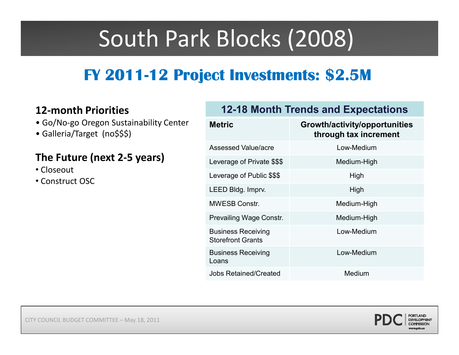# South Park Blocks (2008)

### **FY 201112 Project Investments: \$2.5M**

- Go/No-go Oregon Sustainability Center
- Galleria/Target (no\$\$\$) **through tax increment**

#### **The Future (next 2-5 years)**

- Closeout
- Construct OSC

#### **12-month Priorities 12-18 Month Trends and Expectations**

| <b>Metric</b>                                         | Growth/activity/opportunities<br>through tax increment |
|-------------------------------------------------------|--------------------------------------------------------|
| Assessed Value/acre                                   | Low-Medium                                             |
| Leverage of Private \$\$\$                            | Medium-High                                            |
| Leverage of Public \$\$\$                             | High                                                   |
| LEED Bldg. Imprv.                                     | High                                                   |
| <b>MWESB Constr.</b>                                  | Medium-High                                            |
| <b>Prevailing Wage Constr.</b>                        | Medium-High                                            |
| <b>Business Receiving</b><br><b>Storefront Grants</b> | Low-Medium                                             |
| <b>Business Receiving</b><br>Loans                    | Low-Medium                                             |
| <b>Jobs Retained/Created</b>                          | Medium                                                 |
|                                                       |                                                        |